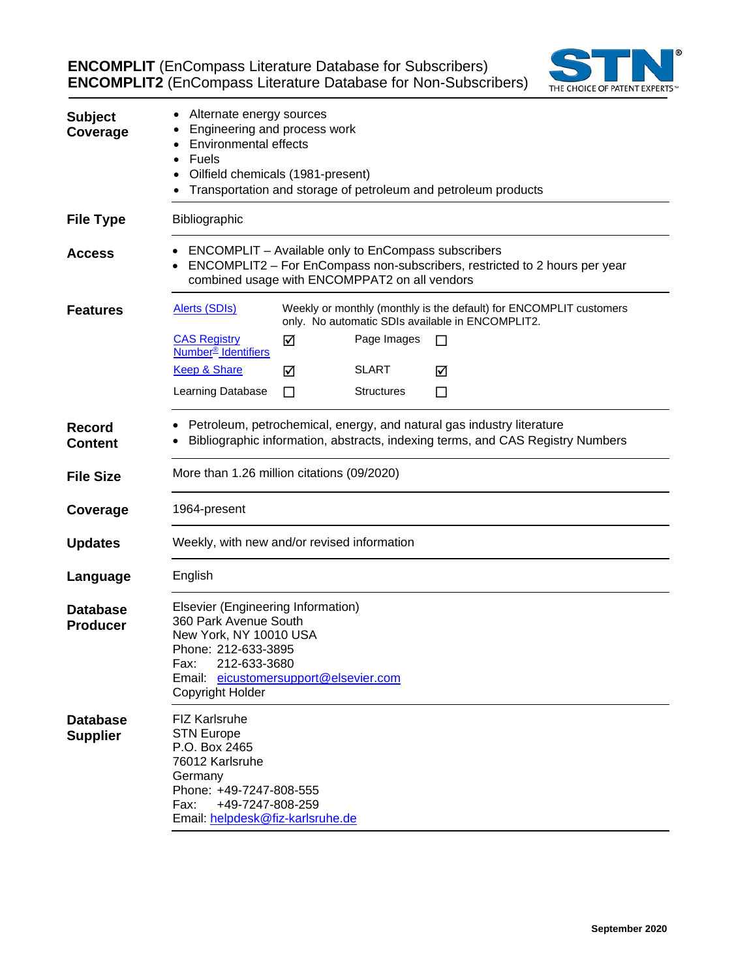**ENCOMPLIT** (EnCompass Literature Database for Subscribers) **ENCOMPLIT2** (EnCompass Literature Database for Non-Subscribers)



| <b>Subject</b><br>Coverage         | Alternate energy sources<br>Engineering and process work<br><b>Environmental effects</b><br><b>Fuels</b><br>Oilfield chemicals (1981-present)<br>Transportation and storage of petroleum and petroleum products |   |                   |    |  |
|------------------------------------|-----------------------------------------------------------------------------------------------------------------------------------------------------------------------------------------------------------------|---|-------------------|----|--|
| <b>File Type</b>                   | Bibliographic                                                                                                                                                                                                   |   |                   |    |  |
| <b>Access</b>                      | ENCOMPLIT – Available only to EnCompass subscribers<br>ENCOMPLIT2 - For EnCompass non-subscribers, restricted to 2 hours per year<br>combined usage with ENCOMPPAT2 on all vendors                              |   |                   |    |  |
| <b>Features</b>                    | <b>Alerts (SDIs)</b><br>Weekly or monthly (monthly is the default) for ENCOMPLIT customers<br>only. No automatic SDIs available in ENCOMPLIT2.                                                                  |   |                   |    |  |
|                                    | <b>CAS Registry</b><br>Number <sup>®</sup> Identifiers                                                                                                                                                          | ☑ | Page Images       | ΙI |  |
|                                    | Keep & Share                                                                                                                                                                                                    | ☑ | <b>SLART</b>      | ☑  |  |
|                                    | Learning Database                                                                                                                                                                                               | П | <b>Structures</b> | ⊔  |  |
| <b>Record</b><br><b>Content</b>    | Petroleum, petrochemical, energy, and natural gas industry literature<br>Bibliographic information, abstracts, indexing terms, and CAS Registry Numbers                                                         |   |                   |    |  |
| <b>File Size</b>                   | More than 1.26 million citations (09/2020)                                                                                                                                                                      |   |                   |    |  |
| Coverage                           | 1964-present                                                                                                                                                                                                    |   |                   |    |  |
| <b>Updates</b>                     | Weekly, with new and/or revised information                                                                                                                                                                     |   |                   |    |  |
| Language                           | English                                                                                                                                                                                                         |   |                   |    |  |
| <b>Database</b><br><b>Producer</b> | Elsevier (Engineering Information)<br>360 Park Avenue South<br>New York, NY 10010 USA<br>Phone: 212-633-3895<br>212-633-3680<br>Fax:<br>Email: eicustomersupport@elsevier.com<br>Copyright Holder               |   |                   |    |  |
| <b>Database</b><br><b>Supplier</b> | <b>FIZ Karlsruhe</b><br><b>STN Europe</b><br>P.O. Box 2465<br>76012 Karlsruhe<br>Germany<br>Phone: +49-7247-808-555<br>Fax:<br>+49-7247-808-259<br>Email: helpdesk@fiz-karlsruhe.de                             |   |                   |    |  |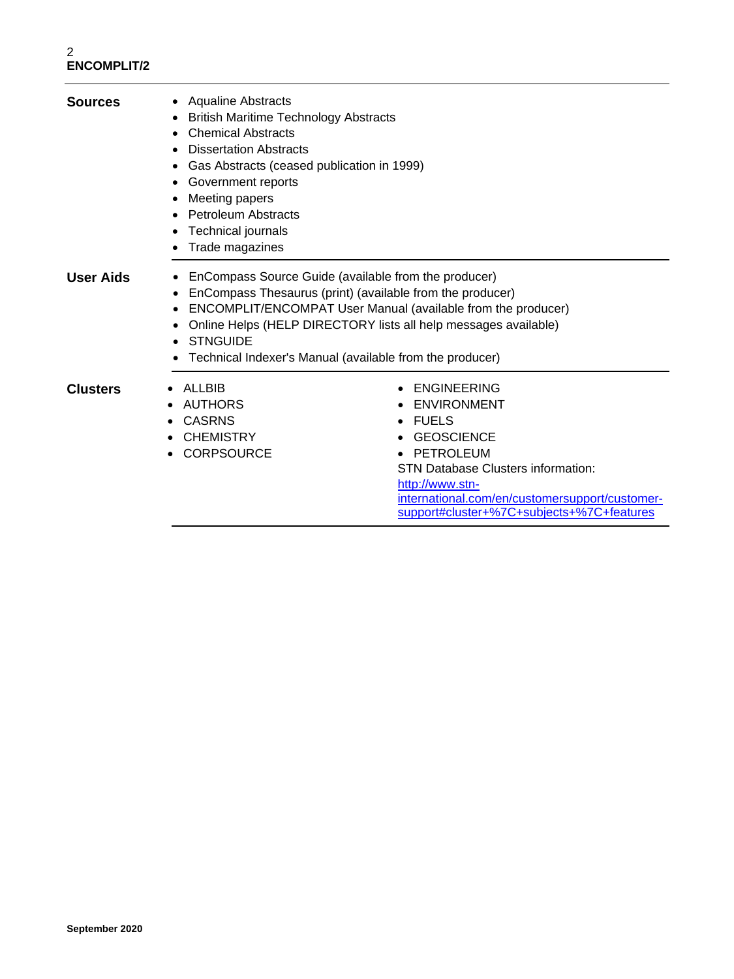| <b>Sources</b>   | • Aqualine Abstracts<br><b>British Maritime Technology Abstracts</b><br>$\bullet$<br><b>Chemical Abstracts</b><br>٠<br><b>Dissertation Abstracts</b><br>Gas Abstracts (ceased publication in 1999)<br>Government reports<br>Meeting papers<br><b>Petroleum Abstracts</b><br>$\bullet$<br>Technical journals<br>Trade magazines |                                                                                                                                                                                                                                                                                                                  |  |
|------------------|--------------------------------------------------------------------------------------------------------------------------------------------------------------------------------------------------------------------------------------------------------------------------------------------------------------------------------|------------------------------------------------------------------------------------------------------------------------------------------------------------------------------------------------------------------------------------------------------------------------------------------------------------------|--|
| <b>User Aids</b> | ٠<br><b>STNGUIDE</b>                                                                                                                                                                                                                                                                                                           | EnCompass Source Guide (available from the producer)<br>EnCompass Thesaurus (print) (available from the producer)<br>ENCOMPLIT/ENCOMPAT User Manual (available from the producer)<br>Online Helps (HELP DIRECTORY lists all help messages available)<br>Technical Indexer's Manual (available from the producer) |  |
| <b>Clusters</b>  | ALLBIB<br><b>AUTHORS</b><br><b>CASRNS</b><br><b>CHEMISTRY</b><br><b>CORPSOURCE</b>                                                                                                                                                                                                                                             | <b>ENGINEERING</b><br>ENVIRONMENT<br><b>FUELS</b><br>$\bullet$<br><b>GEOSCIENCE</b><br>PETROLEUM<br><b>STN Database Clusters information:</b><br>http://www.stn-<br>international.com/en/customersupport/customer-<br>support#cluster+%7C+subjects+%7C+features                                                  |  |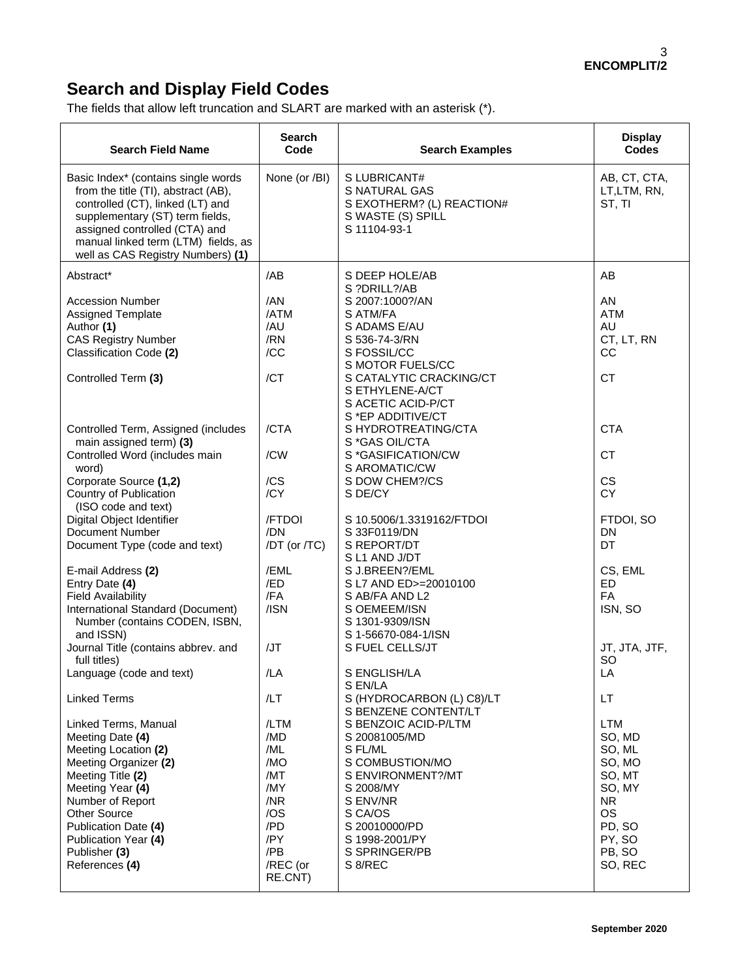## **Search and Display Field Codes**

The fields that allow left truncation and SLART are marked with an asterisk (\*).

| <b>Search Field Name</b>                                                                                                                                                                                                                                         | Search<br>Code                                                                                    | <b>Search Examples</b>                                                                                                                                                                                              | <b>Display</b><br><b>Codes</b>                                                                                                  |
|------------------------------------------------------------------------------------------------------------------------------------------------------------------------------------------------------------------------------------------------------------------|---------------------------------------------------------------------------------------------------|---------------------------------------------------------------------------------------------------------------------------------------------------------------------------------------------------------------------|---------------------------------------------------------------------------------------------------------------------------------|
| Basic Index* (contains single words<br>from the title (TI), abstract (AB),<br>controlled (CT), linked (LT) and<br>supplementary (ST) term fields,<br>assigned controlled (CTA) and<br>manual linked term (LTM) fields, as<br>well as CAS Registry Numbers) (1)   | None (or /BI)                                                                                     | S LUBRICANT#<br>S NATURAL GAS<br>S EXOTHERM? (L) REACTION#<br>S WASTE (S) SPILL<br>S 11104-93-1                                                                                                                     | AB, CT, CTA,<br>LT,LTM, RN,<br>ST, TI                                                                                           |
| Abstract*                                                                                                                                                                                                                                                        | /AB                                                                                               | S DEEP HOLE/AB<br>S ?DRILL?/AB                                                                                                                                                                                      | AB                                                                                                                              |
| <b>Accession Number</b><br>Assigned Template<br>Author (1)<br><b>CAS Registry Number</b><br>Classification Code (2)<br>Controlled Term (3)                                                                                                                       | /AN<br>/ATM<br>/AU<br>/RN<br>/CC<br>/CT                                                           | S 2007:1000?/AN<br>S ATM/FA<br>S ADAMS E/AU<br>S 536-74-3/RN<br>S FOSSIL/CC<br>S MOTOR FUELS/CC<br>S CATALYTIC CRACKING/CT<br>S ETHYLENE-A/CT                                                                       | AN<br><b>ATM</b><br>AU<br>CT, LT, RN<br>CC<br><b>CT</b>                                                                         |
| Controlled Term, Assigned (includes<br>main assigned term) (3)<br>Controlled Word (includes main<br>word)                                                                                                                                                        | /CTA<br>/CW                                                                                       | S ACETIC ACID-P/CT<br>S *EP ADDITIVE/CT<br>S HYDROTREATING/CTA<br>S*GAS OIL/CTA<br>S *GASIFICATION/CW<br>S AROMATIC/CW                                                                                              | <b>CTA</b><br><b>CT</b>                                                                                                         |
| Corporate Source (1,2)<br>Country of Publication                                                                                                                                                                                                                 | /CS<br>/CY                                                                                        | S DOW CHEM?/CS<br>S DE/CY                                                                                                                                                                                           | <b>CS</b><br>CY                                                                                                                 |
| (ISO code and text)<br>Digital Object Identifier<br>Document Number<br>Document Type (code and text)                                                                                                                                                             | /FTDOI<br>/DN<br>/DT (or /TC)                                                                     | S 10.5006/1.3319162/FTDOI<br>S 33F0119/DN<br>S REPORT/DT<br>S L1 AND J/DT                                                                                                                                           | FTDOI, SO<br><b>DN</b><br>DT                                                                                                    |
| E-mail Address (2)<br>Entry Date (4)<br><b>Field Availability</b><br>International Standard (Document)<br>Number (contains CODEN, ISBN,                                                                                                                          | /EML<br>/ED<br>/FA<br>/ISN                                                                        | S J.BREEN?/EML<br>S L7 AND ED>=20010100<br>S AB/FA AND L2<br>S OEMEEM/ISN<br>S 1301-9309/ISN                                                                                                                        | CS, EML<br>ED<br>FA<br>ISN, SO                                                                                                  |
| and ISSN)<br>Journal Title (contains abbrev. and<br>full titles)                                                                                                                                                                                                 | /JT                                                                                               | S 1-56670-084-1/ISN<br>S FUEL CELLS/JT                                                                                                                                                                              | JT, JTA, JTF,<br>SO                                                                                                             |
| Language (code and text)<br><b>Linked Terms</b>                                                                                                                                                                                                                  | /LA<br>/LT                                                                                        | S ENGLISH/LA<br>S EN/LA<br>S (HYDROCARBON (L) C8)/LT                                                                                                                                                                | LA<br>LT.                                                                                                                       |
| Linked Terms, Manual<br>Meeting Date (4)<br>Meeting Location (2)<br>Meeting Organizer (2)<br>Meeting Title (2)<br>Meeting Year (4)<br>Number of Report<br><b>Other Source</b><br>Publication Date (4)<br>Publication Year (4)<br>Publisher (3)<br>References (4) | /LTM<br>/MD<br>/ML<br>/MO<br>/MT<br>/MY<br>/NR<br>/OS<br>/PD<br>/PY<br>/PB<br>/REC (or<br>RE.CNT) | S BENZENE CONTENT/LT<br>S BENZOIC ACID-P/LTM<br>S 20081005/MD<br>S FL/ML<br>S COMBUSTION/MO<br>S ENVIRONMENT?/MT<br>S 2008/MY<br>S ENV/NR<br>S CA/OS<br>S 20010000/PD<br>S 1998-2001/PY<br>S SPRINGER/PB<br>S 8/REC | <b>LTM</b><br>SO, MD<br>SO, ML<br>SO, MO<br>SO, MT<br>SO, MY<br><b>NR</b><br><b>OS</b><br>PD, SO<br>PY, SO<br>PB, SO<br>SO, REC |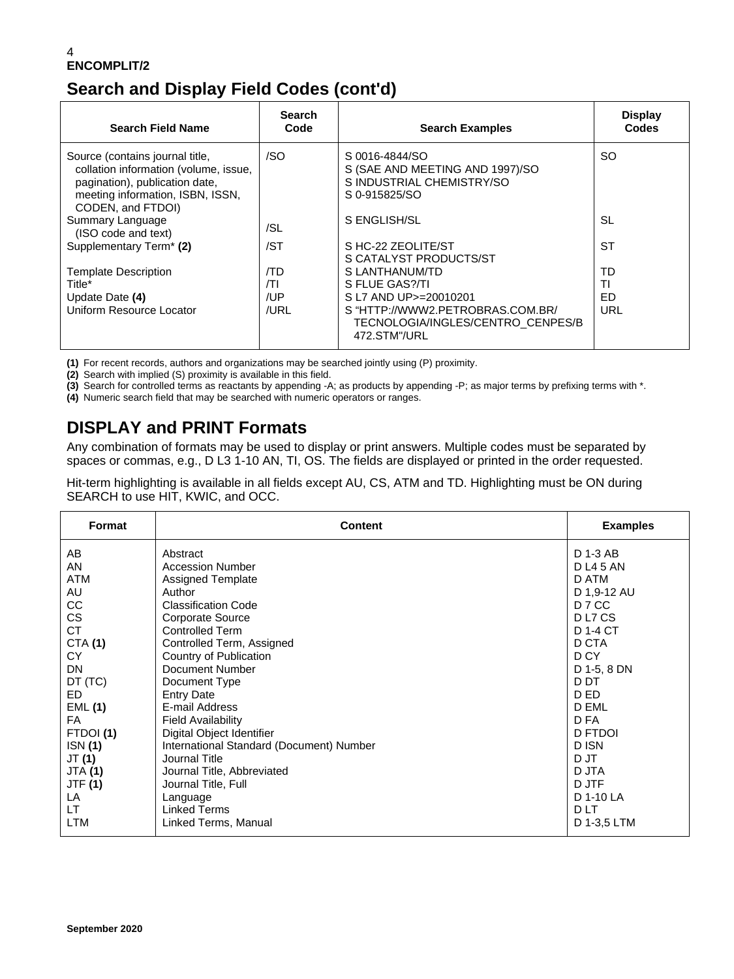## **Search and Display Field Codes (cont'd)**

| <b>Search Field Name</b>                                                                                                                                            | <b>Search</b><br>Code | <b>Search Examples</b>                                                                          | <b>Display</b><br><b>Codes</b> |
|---------------------------------------------------------------------------------------------------------------------------------------------------------------------|-----------------------|-------------------------------------------------------------------------------------------------|--------------------------------|
| Source (contains journal title,<br>collation information (volume, issue,<br>pagination), publication date,<br>meeting information, ISBN, ISSN,<br>CODEN, and FTDOI) | /SO                   | S 0016-4844/SO<br>S (SAE AND MEETING AND 1997)/SO<br>S INDUSTRIAL CHEMISTRY/SO<br>S 0-915825/SO | SO.                            |
| Summary Language<br>(ISO code and text)                                                                                                                             | /SL                   | S ENGLISH/SL                                                                                    | SL                             |
| Supplementary Term <sup>*</sup> (2)                                                                                                                                 | /ST                   | S HC-22 ZEOLITE/ST<br>S CATALYST PRODUCTS/ST                                                    | <b>ST</b>                      |
| <b>Template Description</b>                                                                                                                                         | /TD                   | S LANTHANUM/TD                                                                                  | TD                             |
| Title*                                                                                                                                                              | /TΙ                   | S FLUE GAS?/TI                                                                                  | ΤI                             |
| Update Date (4)                                                                                                                                                     | /UP                   | S L7 AND UP>=20010201                                                                           | ED                             |
| Uniform Resource Locator                                                                                                                                            | /URL                  | S "HTTP://WWW2.PETROBRAS.COM.BR/<br>TECNOLOGIA/INGLES/CENTRO_CENPES/B<br>472.STM"/URL           | URL                            |

**(1)** For recent records, authors and organizations may be searched jointly using (P) proximity.

**(2)** Search with implied (S) proximity is available in this field.

**(3)** Search for controlled terms as reactants by appending -A; as products by appending -P; as major terms by prefixing terms with \*.

**(4)** Numeric search field that may be searched with numeric operators or ranges.

## **DISPLAY and PRINT Formats**

Any combination of formats may be used to display or print answers. Multiple codes must be separated by spaces or commas, e.g., D L3 1-10 AN, TI, OS. The fields are displayed or printed in the order requested.

Hit-term highlighting is available in all fields except AU, CS, ATM and TD. Highlighting must be ON during SEARCH to use HIT, KWIC, and OCC.

| Format         | <b>Content</b>                           | <b>Examples</b>    |
|----------------|------------------------------------------|--------------------|
| AB             | Abstract                                 | D 1-3 AB           |
| AN             | <b>Accession Number</b>                  | <b>DL45AN</b>      |
| ATM            | <b>Assigned Template</b>                 | D ATM              |
| AU             | Author                                   | D 1,9-12 AU        |
| CC             | <b>Classification Code</b>               | D 7 CC             |
| <b>CS</b>      | Corporate Source                         | D <sub>L7</sub> CS |
| <b>CT</b>      | <b>Controlled Term</b>                   | D 1-4 CT           |
| <b>CTA (1)</b> | Controlled Term, Assigned                | D CTA              |
| CY.            | Country of Publication                   | D CY               |
| <b>DN</b>      | Document Number                          | D 1-5, 8 DN        |
| DT (TC)        | Document Type                            | D DT               |
| ED.            | <b>Entry Date</b>                        | D ED               |
| EML(1)         | E-mail Address                           | D EML              |
| FA.            | <b>Field Availability</b>                | D FA               |
| FTDOI(1)       | Digital Object Identifier                | <b>D FTDOI</b>     |
| ISN(1)         | International Standard (Document) Number | D ISN              |
| JT (1)         | Journal Title                            | D JT               |
| <b>JTA (1)</b> | Journal Title, Abbreviated               | D JTA              |
| <b>JTF</b> (1) | Journal Title, Full                      | D JTF              |
| LA             | Language                                 | D 1-10 LA          |
| LT.            | <b>Linked Terms</b>                      | <b>DLT</b>         |
| <b>LTM</b>     | Linked Terms, Manual                     | D 1-3,5 LTM        |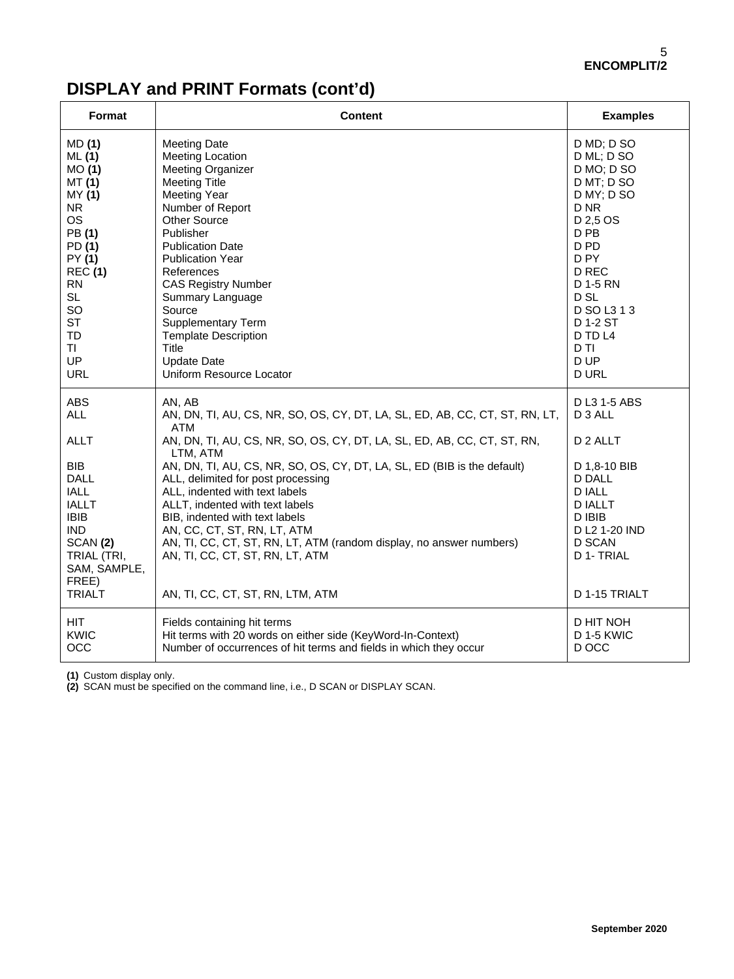| Format                                                                                                                                                                                                | <b>Content</b>                                                                                                                                                                                                                                                                                                                                                                                                                                                                                                                                                                                  | <b>Examples</b>                                                                                                                                                           |
|-------------------------------------------------------------------------------------------------------------------------------------------------------------------------------------------------------|-------------------------------------------------------------------------------------------------------------------------------------------------------------------------------------------------------------------------------------------------------------------------------------------------------------------------------------------------------------------------------------------------------------------------------------------------------------------------------------------------------------------------------------------------------------------------------------------------|---------------------------------------------------------------------------------------------------------------------------------------------------------------------------|
| MD (1)                                                                                                                                                                                                | <b>Meeting Date</b>                                                                                                                                                                                                                                                                                                                                                                                                                                                                                                                                                                             | D MD; D SO                                                                                                                                                                |
| ML(1)                                                                                                                                                                                                 | <b>Meeting Location</b>                                                                                                                                                                                                                                                                                                                                                                                                                                                                                                                                                                         | D ML; D SO                                                                                                                                                                |
| MO(1)                                                                                                                                                                                                 | <b>Meeting Organizer</b>                                                                                                                                                                                                                                                                                                                                                                                                                                                                                                                                                                        | D MO; D SO                                                                                                                                                                |
| MT (1)                                                                                                                                                                                                | <b>Meeting Title</b>                                                                                                                                                                                                                                                                                                                                                                                                                                                                                                                                                                            | D MT; D SO                                                                                                                                                                |
| MY (1)                                                                                                                                                                                                | <b>Meeting Year</b>                                                                                                                                                                                                                                                                                                                                                                                                                                                                                                                                                                             | D MY; D SO                                                                                                                                                                |
| N <sub>R</sub>                                                                                                                                                                                        | Number of Report                                                                                                                                                                                                                                                                                                                                                                                                                                                                                                                                                                                | D NR                                                                                                                                                                      |
| <b>OS</b>                                                                                                                                                                                             | <b>Other Source</b>                                                                                                                                                                                                                                                                                                                                                                                                                                                                                                                                                                             | D 2,5 OS                                                                                                                                                                  |
| PB(1)                                                                                                                                                                                                 | <b>Publisher</b>                                                                                                                                                                                                                                                                                                                                                                                                                                                                                                                                                                                | D <sub>PB</sub>                                                                                                                                                           |
| PD (1)                                                                                                                                                                                                | <b>Publication Date</b>                                                                                                                                                                                                                                                                                                                                                                                                                                                                                                                                                                         | D PD                                                                                                                                                                      |
| PY (1)                                                                                                                                                                                                | <b>Publication Year</b>                                                                                                                                                                                                                                                                                                                                                                                                                                                                                                                                                                         | D PY                                                                                                                                                                      |
| <b>REC (1)</b>                                                                                                                                                                                        | References                                                                                                                                                                                                                                                                                                                                                                                                                                                                                                                                                                                      | D REC                                                                                                                                                                     |
| <b>RN</b>                                                                                                                                                                                             | <b>CAS Registry Number</b>                                                                                                                                                                                                                                                                                                                                                                                                                                                                                                                                                                      | D 1-5 RN                                                                                                                                                                  |
| <b>SL</b>                                                                                                                                                                                             | Summary Language                                                                                                                                                                                                                                                                                                                                                                                                                                                                                                                                                                                | D <sub>SL</sub>                                                                                                                                                           |
| SO                                                                                                                                                                                                    | Source                                                                                                                                                                                                                                                                                                                                                                                                                                                                                                                                                                                          | D SO L3 1 3                                                                                                                                                               |
| <b>ST</b>                                                                                                                                                                                             | <b>Supplementary Term</b>                                                                                                                                                                                                                                                                                                                                                                                                                                                                                                                                                                       | D 1-2 ST                                                                                                                                                                  |
| TD                                                                                                                                                                                                    | <b>Template Description</b>                                                                                                                                                                                                                                                                                                                                                                                                                                                                                                                                                                     | D TD L4                                                                                                                                                                   |
| TI                                                                                                                                                                                                    | Title                                                                                                                                                                                                                                                                                                                                                                                                                                                                                                                                                                                           | D <sub>TI</sub>                                                                                                                                                           |
| UP                                                                                                                                                                                                    | <b>Update Date</b>                                                                                                                                                                                                                                                                                                                                                                                                                                                                                                                                                                              | D UP                                                                                                                                                                      |
| URL                                                                                                                                                                                                   | Uniform Resource Locator                                                                                                                                                                                                                                                                                                                                                                                                                                                                                                                                                                        | D URL                                                                                                                                                                     |
| <b>ABS</b><br><b>ALL</b><br><b>ALLT</b><br><b>BIB</b><br><b>DALL</b><br><b>IALL</b><br><b>IALLT</b><br><b>IBIB</b><br><b>IND</b><br>SCAN (2)<br>TRIAL (TRI,<br>SAM, SAMPLE,<br>FREE)<br><b>TRIALT</b> | AN, AB<br>AN, DN, TI, AU, CS, NR, SO, OS, CY, DT, LA, SL, ED, AB, CC, CT, ST, RN, LT,<br><b>ATM</b><br>AN, DN, TI, AU, CS, NR, SO, OS, CY, DT, LA, SL, ED, AB, CC, CT, ST, RN,<br>LTM, ATM<br>AN, DN, TI, AU, CS, NR, SO, OS, CY, DT, LA, SL, ED (BIB is the default)<br>ALL, delimited for post processing<br>ALL, indented with text labels<br>ALLT, indented with text labels<br>BIB, indented with text labels<br>AN, CC, CT, ST, RN, LT, ATM<br>AN, TI, CC, CT, ST, RN, LT, ATM (random display, no answer numbers)<br>AN, TI, CC, CT, ST, RN, LT, ATM<br>AN, TI, CC, CT, ST, RN, LTM, ATM | D L3 1-5 ABS<br>D 3 ALL<br>D 2 ALLT<br>D 1,8-10 BIB<br><b>D DALL</b><br><b>DIALL</b><br><b>DIALLT</b><br>D IBIB<br>D L2 1-20 IND<br>D SCAN<br>D 1- TRIAL<br>D 1-15 TRIALT |
| <b>HIT</b>                                                                                                                                                                                            | Fields containing hit terms                                                                                                                                                                                                                                                                                                                                                                                                                                                                                                                                                                     | D HIT NOH                                                                                                                                                                 |
| KWIC                                                                                                                                                                                                  | Hit terms with 20 words on either side (KeyWord-In-Context)                                                                                                                                                                                                                                                                                                                                                                                                                                                                                                                                     | D 1-5 KWIC                                                                                                                                                                |
| <b>OCC</b>                                                                                                                                                                                            | Number of occurrences of hit terms and fields in which they occur                                                                                                                                                                                                                                                                                                                                                                                                                                                                                                                               | D OCC                                                                                                                                                                     |

# **DISPLAY and PRINT Formats (cont'd)**

**(1)** Custom display only.

**(2)** SCAN must be specified on the command line, i.e., D SCAN or DISPLAY SCAN.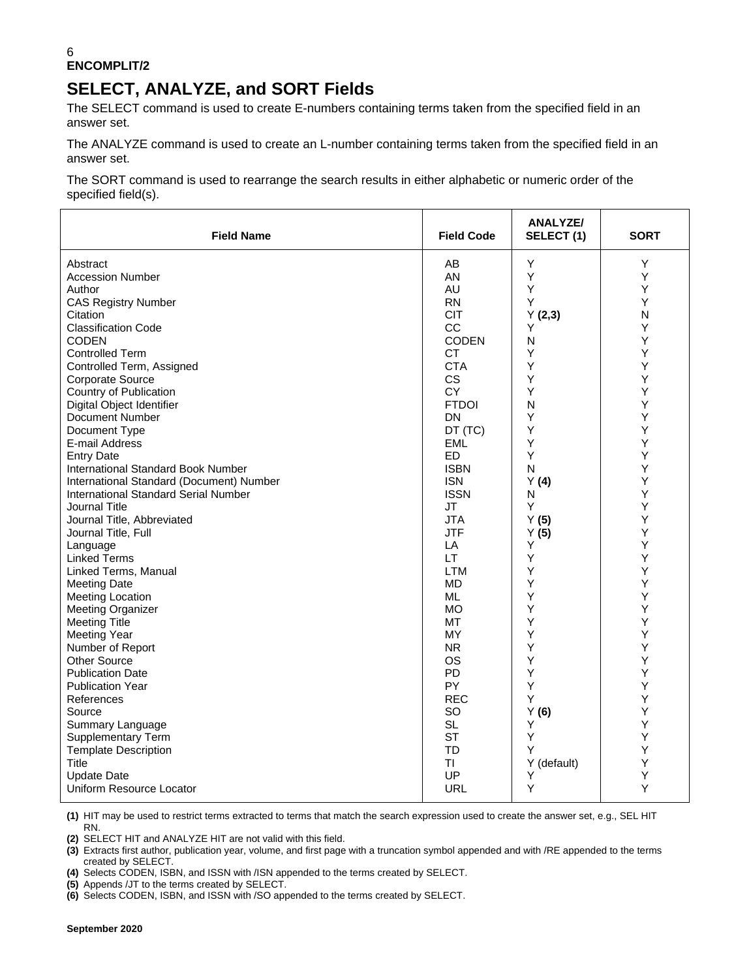## **SELECT, ANALYZE, and SORT Fields**

The SELECT command is used to create E-numbers containing terms taken from the specified field in an answer set.

The ANALYZE command is used to create an L-number containing terms taken from the specified field in an answer set.

The SORT command is used to rearrange the search results in either alphabetic or numeric order of the specified field(s).

| <b>Field Name</b>                           | <b>Field Code</b> | <b>ANALYZE/</b><br>SELECT(1) | <b>SORT</b>  |
|---------------------------------------------|-------------------|------------------------------|--------------|
| Abstract                                    | AB                | Υ                            | Y            |
| <b>Accession Number</b>                     | AN                | Y                            | Υ            |
| Author                                      | AU                | Y                            | Υ            |
| <b>CAS Registry Number</b>                  | <b>RN</b>         | Υ                            | Y            |
| Citation                                    | <b>CIT</b>        | Y(2,3)                       | $\mathsf{N}$ |
| <b>Classification Code</b>                  | CC                | Υ                            | Υ            |
| <b>CODEN</b>                                | <b>CODEN</b>      | N                            | Υ            |
| <b>Controlled Term</b>                      | CT.               | Υ                            | Υ            |
| Controlled Term, Assigned                   | <b>CTA</b>        | Y                            | Υ            |
| Corporate Source                            | <b>CS</b>         | Y                            | Υ            |
| Country of Publication                      | <b>CY</b>         | Y                            | Υ            |
| Digital Object Identifier                   | <b>FTDOI</b>      | N                            | Υ            |
| Document Number                             | DN                | Y                            | Υ            |
| Document Type                               | DT (TC)           | Y                            | Υ            |
| E-mail Address                              | <b>EML</b>        | Y                            | Υ            |
| <b>Entry Date</b>                           | <b>ED</b>         | Υ                            | Υ            |
| International Standard Book Number          | <b>ISBN</b>       | N                            | Υ            |
| International Standard (Document) Number    | <b>ISN</b>        | Y(4)                         | Y            |
| <b>International Standard Serial Number</b> | <b>ISSN</b>       | N                            | Υ            |
| Journal Title                               | JT                | Y                            | Υ            |
| Journal Title, Abbreviated                  | <b>JTA</b>        | Y(5)                         | Υ            |
| Journal Title, Full                         | <b>JTF</b>        | Y(5)                         | Υ            |
| Language                                    | LA                | Y                            | Υ            |
| <b>Linked Terms</b>                         | LT.               | Y                            | Υ            |
| Linked Terms, Manual                        | LTM               | Y                            | Υ            |
| <b>Meeting Date</b>                         | MD                | Υ                            | Υ            |
| <b>Meeting Location</b>                     | ML                | Y                            | Υ            |
| <b>Meeting Organizer</b>                    | <b>MO</b>         | Y                            | Υ            |
| <b>Meeting Title</b>                        | МT                | Y                            | Υ            |
| <b>Meeting Year</b>                         | MY                | Y                            | Υ            |
| Number of Report                            | NR.               | Y                            | Υ            |
| <b>Other Source</b>                         | <b>OS</b>         | Y                            | Υ            |
| <b>Publication Date</b>                     | PD                | Υ                            | Υ            |
| <b>Publication Year</b>                     | PY.               | Y                            | Υ            |
| References                                  | <b>REC</b>        | Y                            | Υ            |
| Source                                      | SO                | Y(6)                         | Υ            |
| Summary Language                            | <b>SL</b>         | Y                            | Υ            |
| <b>Supplementary Term</b>                   | <b>ST</b>         | Y                            | Υ            |
| <b>Template Description</b>                 | <b>TD</b>         | Y                            | Υ            |
| Title                                       | TI                | Y (default)                  | Υ            |
| <b>Update Date</b>                          | UP                | Υ                            | Υ            |
| Uniform Resource Locator                    | URL               | Υ                            | Y            |

**(1)** HIT may be used to restrict terms extracted to terms that match the search expression used to create the answer set, e.g., SEL HIT RN.

**(2)** SELECT HIT and ANALYZE HIT are not valid with this field.

**(3)** Extracts first author, publication year, volume, and first page with a truncation symbol appended and with /RE appended to the terms created by SELECT.

**(4)** Selects CODEN, ISBN, and ISSN with /ISN appended to the terms created by SELECT.

**(5)** Appends /JT to the terms created by SELECT.

**(6)** Selects CODEN, ISBN, and ISSN with /SO appended to the terms created by SELECT.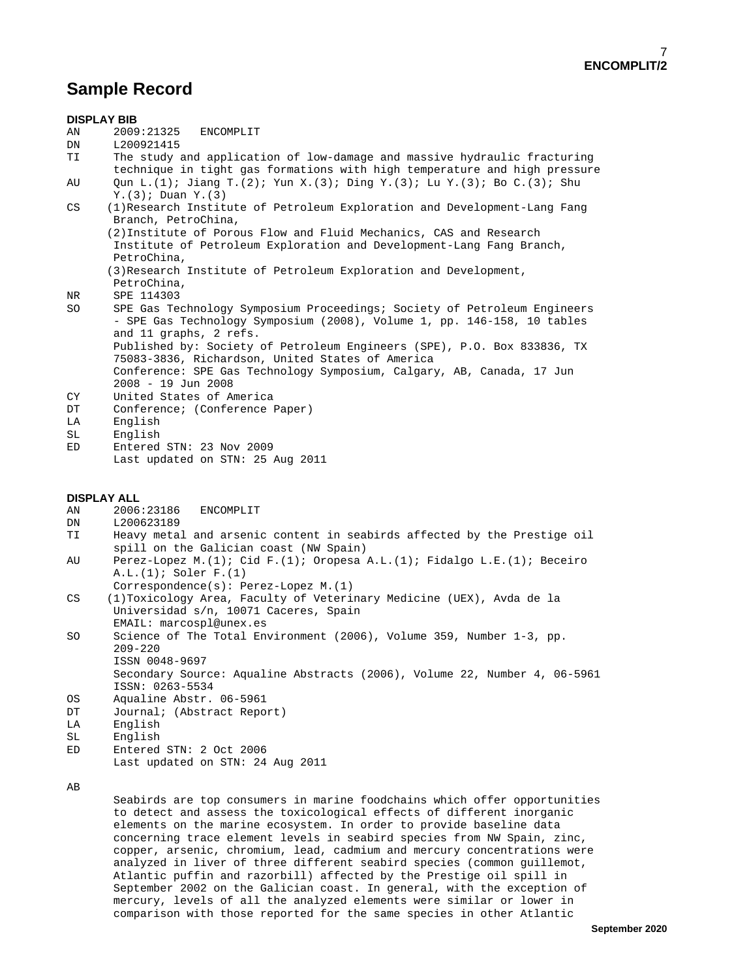## **Sample Record**

|          | <b>DISPLAY BIB</b>                                                                                                                                                                                                                                                                                   |
|----------|------------------------------------------------------------------------------------------------------------------------------------------------------------------------------------------------------------------------------------------------------------------------------------------------------|
| AN       | 2009:21325<br>ENCOMPLIT                                                                                                                                                                                                                                                                              |
| DN       | L200921415                                                                                                                                                                                                                                                                                           |
| TΙ       | The study and application of low-damage and massive hydraulic fracturing<br>technique in tight gas formations with high temperature and high pressure                                                                                                                                                |
| AU       | Qun L. (1); Jiang T. (2); Yun X. (3); Ding Y. (3); Lu Y. (3); Bo C. (3); Shu<br>$Y.$ (3); Duan $Y.$ (3)                                                                                                                                                                                              |
| CS       | (1) Research Institute of Petroleum Exploration and Development-Lang Fang<br>Branch, PetroChina,                                                                                                                                                                                                     |
|          | (2) Institute of Porous Flow and Fluid Mechanics, CAS and Research<br>Institute of Petroleum Exploration and Development-Lang Fang Branch,<br>PetroChina,                                                                                                                                            |
|          | (3) Research Institute of Petroleum Exploration and Development,<br>PetroChina,                                                                                                                                                                                                                      |
| NR       | SPE 114303                                                                                                                                                                                                                                                                                           |
| SO       | SPE Gas Technology Symposium Proceedings; Society of Petroleum Engineers<br>- SPE Gas Technology Symposium (2008), Volume 1, pp. 146-158, 10 tables<br>and 11 graphs, 2 refs.                                                                                                                        |
|          | Published by: Society of Petroleum Engineers (SPE), P.O. Box 833836, TX<br>75083-3836, Richardson, United States of America                                                                                                                                                                          |
|          | Conference: SPE Gas Technology Symposium, Calgary, AB, Canada, 17 Jun<br>$2008 - 19$ Jun 2008                                                                                                                                                                                                        |
| СY       | United States of America                                                                                                                                                                                                                                                                             |
| DT       | Conference; (Conference Paper)                                                                                                                                                                                                                                                                       |
| LA       | English                                                                                                                                                                                                                                                                                              |
| SL       | English                                                                                                                                                                                                                                                                                              |
| ED       | Entered STN: 23 Nov 2009                                                                                                                                                                                                                                                                             |
|          | Last updated on STN: 25 Aug 2011                                                                                                                                                                                                                                                                     |
| AΝ<br>DN | DISPLAY ALL<br>2006:23186<br>ENCOMPLIT<br>L200623189                                                                                                                                                                                                                                                 |
| TΙ       | Heavy metal and arsenic content in seabirds affected by the Prestige oil<br>spill on the Galician coast (NW Spain)                                                                                                                                                                                   |
| AU       | Perez-Lopez M.(1); Cid F.(1); Oropesa A.L.(1); Fidalgo L.E.(1); Beceiro<br>$A.L.(1);$ Soler $F.(1)$                                                                                                                                                                                                  |
|          | Correspondence(s): Perez-Lopez M. (1)                                                                                                                                                                                                                                                                |
| CS       | (1) Toxicology Area, Faculty of Veterinary Medicine (UEX), Avda de la<br>Universidad s/n, 10071 Caceres, Spain                                                                                                                                                                                       |
| SO       | EMAIL: marcospl@unex.es<br>Science of The Total Environment (2006), Volume 359, Number 1-3, pp.<br>$209 - 220$                                                                                                                                                                                       |
|          | ISSN 0048-9697<br>Secondary Source: Aqualine Abstracts (2006), Volume 22, Number 4, 06-5961                                                                                                                                                                                                          |
|          | ISSN: 0263-5534                                                                                                                                                                                                                                                                                      |
| ОS<br>DT | Aqualine Abstr. 06-5961<br>Journal; (Abstract Report)                                                                                                                                                                                                                                                |
| LA       | English                                                                                                                                                                                                                                                                                              |
| SL       | English                                                                                                                                                                                                                                                                                              |
| ED       | Entered STN: 2 Oct 2006                                                                                                                                                                                                                                                                              |
|          | Last updated on STN: 24 Aug 2011                                                                                                                                                                                                                                                                     |
| ΑВ       |                                                                                                                                                                                                                                                                                                      |
|          | Seabirds are top consumers in marine foodchains which offer opportunities<br>to detect and assess the toxicological effects of different inorganic<br>elements on the marine ecosystem. In order to provide baseline data<br>concerning trace element levels in seabird species from NW Spain, zinc, |

 copper, arsenic, chromium, lead, cadmium and mercury concentrations were analyzed in liver of three different seabird species (common guillemot, Atlantic puffin and razorbill) affected by the Prestige oil spill in September 2002 on the Galician coast. In general, with the exception of mercury, levels of all the analyzed elements were similar or lower in comparison with those reported for the same species in other Atlantic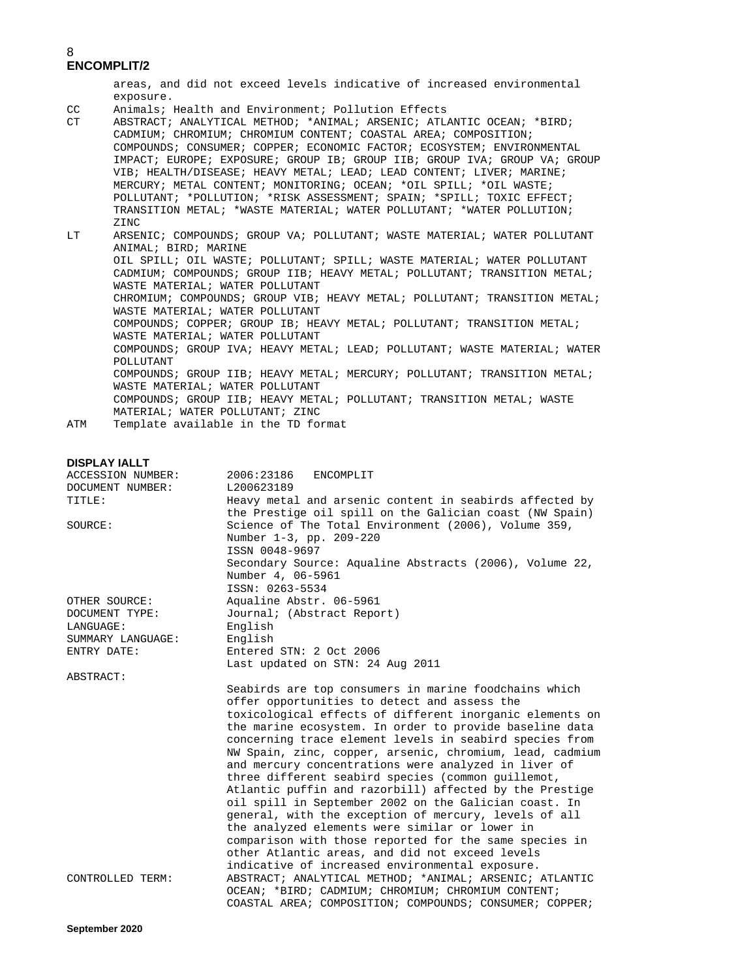areas, and did not exceed levels indicative of increased environmental

- exposure.<br>CC Animals; CC Animals; Health and Environment; Pollution Effects
- ABSTRACT; ANALYTICAL METHOD; \*ANIMAL; ARSENIC; ATLANTIC OCEAN; \*BIRD; CADMIUM; CHROMIUM; CHROMIUM CONTENT; COASTAL AREA; COMPOSITION; COMPOUNDS; CONSUMER; COPPER; ECONOMIC FACTOR; ECOSYSTEM; ENVIRONMENTAL IMPACT; EUROPE; EXPOSURE; GROUP IB; GROUP IIB; GROUP IVA; GROUP VA; GROUP VIB; HEALTH/DISEASE; HEAVY METAL; LEAD; LEAD CONTENT; LIVER; MARINE; MERCURY; METAL CONTENT; MONITORING; OCEAN; \*OIL SPILL; \*OIL WASTE; POLLUTANT; \*POLLUTION; \*RISK ASSESSMENT; SPAIN; \*SPILL; TOXIC EFFECT; TRANSITION METAL; \*WASTE MATERIAL; WATER POLLUTANT; \*WATER POLLUTION; ZINC<br>LT ARSEI
- ARSENIC; COMPOUNDS; GROUP VA; POLLUTANT; WASTE MATERIAL; WATER POLLUTANT ANIMAL; BIRD; MARINE OIL SPILL; OIL WASTE; POLLUTANT; SPILL; WASTE MATERIAL; WATER POLLUTANT CADMIUM; COMPOUNDS; GROUP IIB; HEAVY METAL; POLLUTANT; TRANSITION METAL; WASTE MATERIAL; WATER POLLUTANT CHROMIUM; COMPOUNDS; GROUP VIB; HEAVY METAL; POLLUTANT; TRANSITION METAL; WASTE MATERIAL; WATER POLLUTANT COMPOUNDS; COPPER; GROUP IB; HEAVY METAL; POLLUTANT; TRANSITION METAL; WASTE MATERIAL; WATER POLLUTANT COMPOUNDS; GROUP IVA; HEAVY METAL; LEAD; POLLUTANT; WASTE MATERIAL; WATER POLLUTANT COMPOUNDS; GROUP IIB; HEAVY METAL; MERCURY; POLLUTANT; TRANSITION METAL; WASTE MATERIAL; WATER POLLUTANT COMPOUNDS; GROUP IIB; HEAVY METAL; POLLUTANT; TRANSITION METAL; WASTE
- MATERIAL; WATER POLLUTANT; ZINC<br>ATM Template available in the TD for Template available in the TD format

### **DISPLAY IALLT**

| ACCESSION NUMBER: | 2006:23186<br>ENCOMPLIT                                                                                    |
|-------------------|------------------------------------------------------------------------------------------------------------|
| DOCUMENT NUMBER:  | L200623189                                                                                                 |
| TITLE:            | Heavy metal and arsenic content in seabirds affected by                                                    |
|                   | the Prestige oil spill on the Galician coast (NW Spain)                                                    |
| SOURCE:           | Science of The Total Environment (2006), Volume 359,                                                       |
|                   | Number 1-3, pp. 209-220                                                                                    |
|                   | ISSN 0048-9697                                                                                             |
|                   | Secondary Source: Aqualine Abstracts (2006), Volume 22,                                                    |
|                   | Number 4, 06-5961                                                                                          |
|                   | ISSN: 0263-5534                                                                                            |
| OTHER SOURCE:     | Aqualine Abstr. 06-5961                                                                                    |
| DOCUMENT TYPE:    | Journal; (Abstract Report)                                                                                 |
| LANGUAGE:         | English                                                                                                    |
| SUMMARY LANGUAGE: | English                                                                                                    |
| ENTRY DATE:       | Entered STN: 2 Oct 2006                                                                                    |
|                   | Last updated on STN: 24 Aug 2011                                                                           |
| ABSTRACT:         |                                                                                                            |
|                   | Seabirds are top consumers in marine foodchains which                                                      |
|                   | offer opportunities to detect and assess the                                                               |
|                   | toxicological effects of different inorganic elements on                                                   |
|                   | the marine ecosystem. In order to provide baseline data                                                    |
|                   | concerning trace element levels in seabird species from                                                    |
|                   | NW Spain, zinc, copper, arsenic, chromium, lead, cadmium                                                   |
|                   | and mercury concentrations were analyzed in liver of                                                       |
|                   | three different seabird species (common quillemot,                                                         |
|                   | Atlantic puffin and razorbill) affected by the Prestige                                                    |
|                   | oil spill in September 2002 on the Galician coast. In                                                      |
|                   | general, with the exception of mercury, levels of all                                                      |
|                   | the analyzed elements were similar or lower in                                                             |
|                   | comparison with those reported for the same species in                                                     |
|                   | other Atlantic areas, and did not exceed levels                                                            |
|                   | indicative of increased environmental exposure.<br>ABSTRACT; ANALYTICAL METHOD; *ANIMAL; ARSENIC; ATLANTIC |
| CONTROLLED TERM:  | OCEAN; *BIRD; CADMIUM; CHROMIUM; CHROMIUM CONTENT;                                                         |
|                   | COASTAL AREA; COMPOSITION; COMPOUNDS; CONSUMER; COPPER;                                                    |
|                   |                                                                                                            |